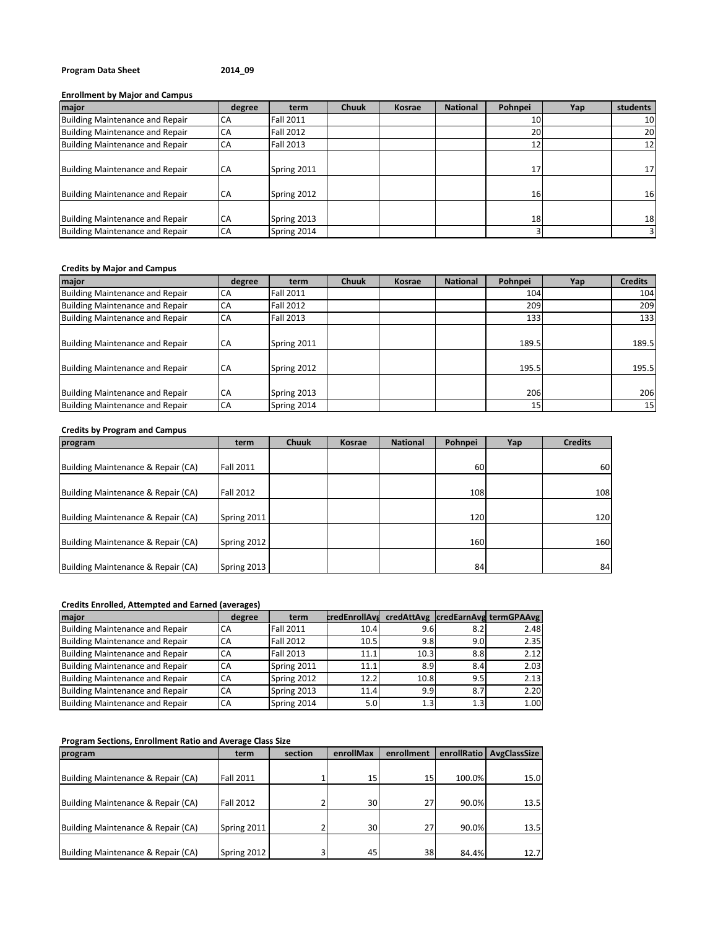## **Program Data Sheet 2014\_09**

### **Enrollment by Major and Campus**

| major                                  | degree    | term             | <b>Chuuk</b> | <b>Kosrae</b> | <b>National</b> | Pohnpei         | Yap | students        |
|----------------------------------------|-----------|------------------|--------------|---------------|-----------------|-----------------|-----|-----------------|
| <b>Building Maintenance and Repair</b> | CA        | <b>Fall 2011</b> |              |               |                 | 10 <sup>1</sup> |     | 10 <sub>l</sub> |
| <b>Building Maintenance and Repair</b> | CA        | <b>Fall 2012</b> |              |               |                 | 20              |     | 20              |
| <b>Building Maintenance and Repair</b> | CA        | Fall 2013        |              |               |                 | 12              |     | 12 <sub>1</sub> |
| <b>Building Maintenance and Repair</b> | CA        | Spring 2011      |              |               |                 | 17              |     | 17              |
| <b>Building Maintenance and Repair</b> | CA        | Spring 2012      |              |               |                 | <b>16</b>       |     | 16              |
| <b>Building Maintenance and Repair</b> | <b>CA</b> | Spring 2013      |              |               |                 | 18              |     | 18              |
| Building Maintenance and Repair        | CA        | Spring 2014      |              |               |                 |                 |     | $\overline{3}$  |

### **Credits by Major and Campus**

| major                                                                     | degree                 | term                       | <b>Chuuk</b> | <b>Kosrae</b> | <b>National</b> | Pohnpei         | Yap | <b>Credits</b> |
|---------------------------------------------------------------------------|------------------------|----------------------------|--------------|---------------|-----------------|-----------------|-----|----------------|
| Building Maintenance and Repair                                           | <b>CA</b>              | Fall 2011                  |              |               |                 | 104             |     | 104            |
| Building Maintenance and Repair                                           | <b>CA</b>              | <b>Fall 2012</b>           |              |               |                 | 209             |     | 209            |
| Building Maintenance and Repair                                           | <b>CA</b>              | Fall 2013                  |              |               |                 | 133             |     | 133            |
| <b>Building Maintenance and Repair</b><br>Building Maintenance and Repair | <b>CA</b><br><b>CA</b> | Spring 2011<br>Spring 2012 |              |               |                 | 189.5<br>195.5  |     | 189.5<br>195.5 |
|                                                                           |                        |                            |              |               |                 |                 |     |                |
| <b>Building Maintenance and Repair</b>                                    | <b>CA</b>              | Spring 2013                |              |               |                 | 206             |     | 206            |
| <b>Building Maintenance and Repair</b>                                    | CA                     | Spring 2014                |              |               |                 | 15 <sup>1</sup> |     | 15             |

# **Credits by Program and Campus**

| program                            | term             | <b>Chuuk</b> | Kosrae | <b>National</b> | Pohnpei | Yap | <b>Credits</b> |
|------------------------------------|------------------|--------------|--------|-----------------|---------|-----|----------------|
|                                    |                  |              |        |                 |         |     |                |
| Building Maintenance & Repair (CA) | Fall 2011        |              |        |                 | 60      |     | 60             |
|                                    |                  |              |        |                 |         |     |                |
| Building Maintenance & Repair (CA) | <b>Fall 2012</b> |              |        |                 | 108     |     | 108            |
|                                    |                  |              |        |                 |         |     |                |
| Building Maintenance & Repair (CA) | Spring 2011      |              |        |                 | 120     |     | 120            |
|                                    |                  |              |        |                 |         |     |                |
| Building Maintenance & Repair (CA) | Spring 2012      |              |        |                 | 160     |     | 160            |
|                                    |                  |              |        |                 |         |     |                |
| Building Maintenance & Repair (CA) | Spring 2013      |              |        |                 | 84      |     | 84             |

## **Credits Enrolled, Attempted and Earned (averages)**

| major                                  | degree | term             | <b>credEnrollAvs</b> |                  |     | credAttAvg credEarnAvg termGPAAvg |
|----------------------------------------|--------|------------------|----------------------|------------------|-----|-----------------------------------|
| <b>Building Maintenance and Repair</b> | CА     | <b>Fall 2011</b> | 10.4                 | 9.6              | 8.2 | 2.48                              |
| Building Maintenance and Repair        | СA     | <b>Fall 2012</b> | 10.5                 | 9.8              | 9.0 | 2.35                              |
| Building Maintenance and Repair        | СA     | <b>Fall 2013</b> | 11.1                 | 10.3             | 8.8 | 2.12                              |
| Building Maintenance and Repair        | СA     | Spring 2011      | 11.1                 | 8.9              | 8.4 | 2.03                              |
| Building Maintenance and Repair        | CA     | Spring 2012      | 12.2                 | 10.8             | 9.5 | 2.13                              |
| <b>Building Maintenance and Repair</b> | СA     | Spring 2013      | 11.4                 | 9.9              | 8.7 | 2.20                              |
| Building Maintenance and Repair        | СA     | Spring 2014      | 5.0                  | 1.3 <sub>l</sub> | 1.3 | 1.00                              |

## **Program Sections, Enrollment Ratio and Average Class Size**

| program                            | term             | section | enrollMax | enrollment | enrollRatio | <b>AvgClassSize</b> |
|------------------------------------|------------------|---------|-----------|------------|-------------|---------------------|
|                                    |                  |         |           |            |             |                     |
| Building Maintenance & Repair (CA) | <b>Fall 2011</b> |         | 15        | 15         | 100.0%      | 15.0                |
|                                    |                  |         |           |            |             |                     |
| Building Maintenance & Repair (CA) | Fall 2012        |         | 30        | 27         | 90.0%       | 13.5                |
|                                    |                  |         |           |            |             |                     |
| Building Maintenance & Repair (CA) | Spring 2011      |         | 30        | 27         | 90.0%       | 13.5                |
|                                    |                  |         |           |            |             |                     |
| Building Maintenance & Repair (CA) | Spring 2012      |         | 45        | 38         | 84.4%       | 12.7                |